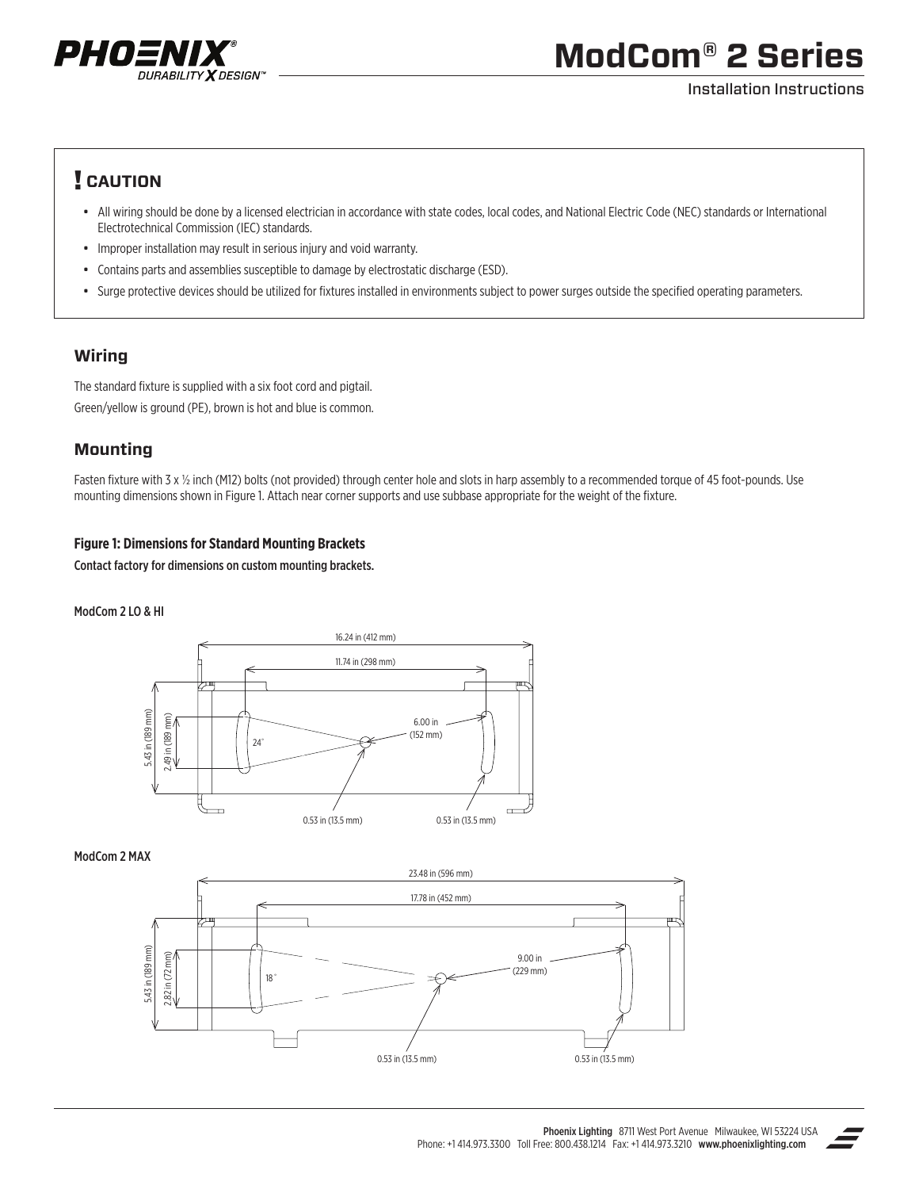

# **ModCom® 2 Series**

#### Installation Instructions

## ! **CAUTION**

- All wiring should be done by a licensed electrician in accordance with state codes, local codes, and National Electric Code (NEC) standards or International Electrotechnical Commission (IEC) standards.
- Improper installation may result in serious injury and void warranty.
- Contains parts and assemblies susceptible to damage by electrostatic discharge (ESD).
- Surge protective devices should be utilized for fixtures installed in environments subject to power surges outside the specified operating parameters.

## **Wiring**

The standard fixture is supplied with a six foot cord and pigtail. Green/yellow is ground (PE), brown is hot and blue is common.

## **Mounting**

Fasten fixture with 3 x 1/2 inch (M12) bolts (not provided) through center hole and slots in harp assembly to a recommended torque of 45 foot-pounds. Use mounting dimensions shown in Figure 1. Attach near corner supports and use subbase appropriate for the weight of the fixture.

### **Figure 1: Dimensions for Standard Mounting Brackets**

Contact factory for dimensions on custom mounting brackets.

#### ModCom 2 LO & HI



#### ModCom 2 MAX



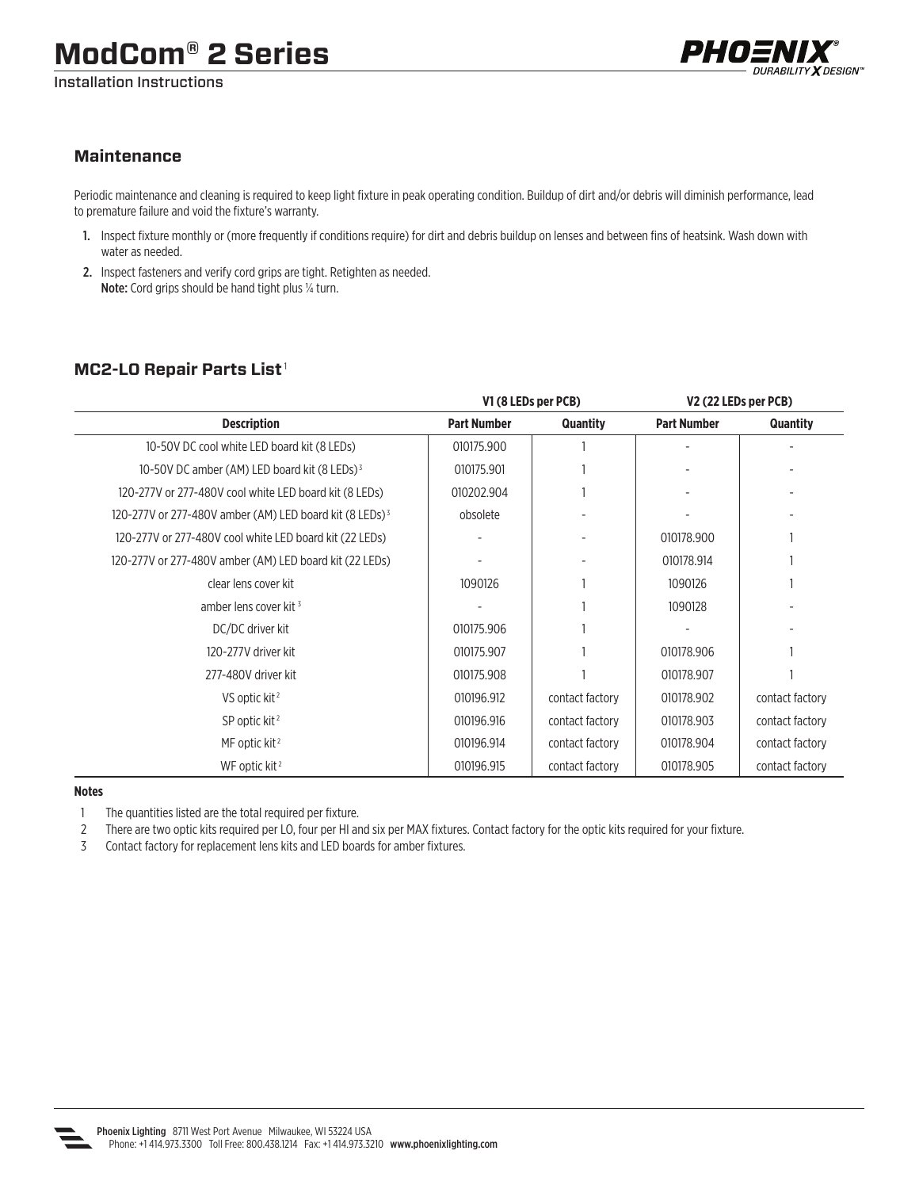Installation Instructions



### **Maintenance**

Periodic maintenance and cleaning is required to keep light fixture in peak operating condition. Buildup of dirt and/or debris will diminish performance, lead to premature failure and void the fixture's warranty.

- 1. Inspect fixture monthly or (more frequently if conditions require) for dirt and debris buildup on lenses and between fins of heatsink. Wash down with water as needed.
- 2. Inspect fasteners and verify cord grips are tight. Retighten as needed. Note: Cord grips should be hand tight plus 1/4 turn.

## **MC2-LO Repair Parts List** <sup>1</sup>

|                                                                     | V1 (8 LEDs per PCB) |                 | V <sub>2</sub> (22 LEDs per PCB) |                 |
|---------------------------------------------------------------------|---------------------|-----------------|----------------------------------|-----------------|
| <b>Description</b>                                                  | <b>Part Number</b>  | Quantity        | <b>Part Number</b>               | <b>Quantity</b> |
| 10-50V DC cool white LED board kit (8 LEDs)                         | 010175.900          |                 |                                  |                 |
| 10-50V DC amber (AM) LED board kit (8 LEDs) <sup>3</sup>            | 010175.901          |                 |                                  |                 |
| 120-277V or 277-480V cool white LED board kit (8 LEDs)              | 010202.904          |                 |                                  |                 |
| 120-277V or 277-480V amber (AM) LED board kit (8 LEDs) <sup>3</sup> | obsolete            |                 |                                  |                 |
| 120-277V or 277-480V cool white LED board kit (22 LEDs)             |                     |                 | 010178.900                       |                 |
| 120-277V or 277-480V amber (AM) LED board kit (22 LEDs)             |                     |                 | 010178.914                       |                 |
| clear lens cover kit                                                | 1090126             |                 | 1090126                          |                 |
| amber lens cover kit <sup>3</sup>                                   |                     |                 | 1090128                          |                 |
| DC/DC driver kit                                                    | 010175.906          |                 |                                  |                 |
| 120-277V driver kit                                                 | 010175.907          |                 | 010178.906                       |                 |
| 277-480V driver kit                                                 | 010175.908          |                 | 010178.907                       |                 |
| VS optic kit <sup>2</sup>                                           | 010196.912          | contact factory | 010178.902                       | contact factory |
| SP optic kit <sup>2</sup>                                           | 010196.916          | contact factory | 010178.903                       | contact factory |
| MF optic kit <sup>2</sup>                                           | 010196.914          | contact factory | 010178.904                       | contact factory |
| WF optic kit <sup>2</sup>                                           | 010196.915          | contact factory | 010178.905                       | contact factory |

#### **Notes**

1 The quantities listed are the total required per fixture.

2 There are two optic kits required per LO, four per HI and six per MAX fixtures. Contact factory for the optic kits required for your fixture.

3 Contact factory for replacement lens kits and LED boards for amber fixtures.